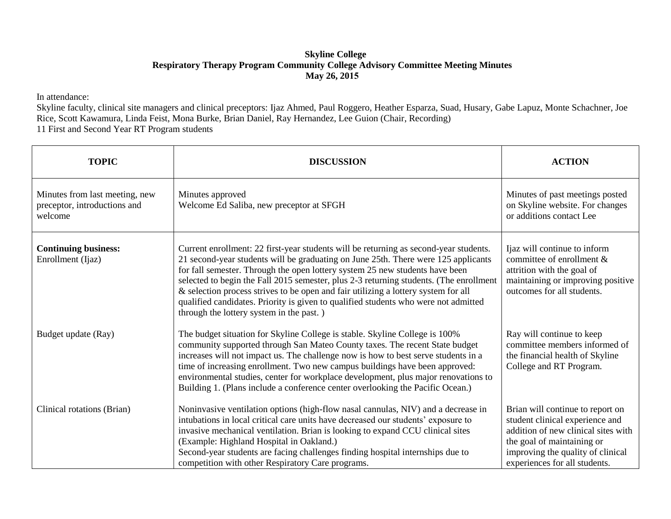## **Skyline College Respiratory Therapy Program Community College Advisory Committee Meeting Minutes May 26, 2015**

In attendance:

Skyline faculty, clinical site managers and clinical preceptors: Ijaz Ahmed, Paul Roggero, Heather Esparza, Suad, Husary, Gabe Lapuz, Monte Schachner, Joe Rice, Scott Kawamura, Linda Feist, Mona Burke, Brian Daniel, Ray Hernandez, Lee Guion (Chair, Recording) 11 First and Second Year RT Program students

| <b>TOPIC</b>                                                              | <b>DISCUSSION</b>                                                                                                                                                                                                                                                                                                                                                                                                                                                                                                                                                              | <b>ACTION</b>                                                                                                                                                                                                  |
|---------------------------------------------------------------------------|--------------------------------------------------------------------------------------------------------------------------------------------------------------------------------------------------------------------------------------------------------------------------------------------------------------------------------------------------------------------------------------------------------------------------------------------------------------------------------------------------------------------------------------------------------------------------------|----------------------------------------------------------------------------------------------------------------------------------------------------------------------------------------------------------------|
| Minutes from last meeting, new<br>preceptor, introductions and<br>welcome | Minutes approved<br>Welcome Ed Saliba, new preceptor at SFGH                                                                                                                                                                                                                                                                                                                                                                                                                                                                                                                   | Minutes of past meetings posted<br>on Skyline website. For changes<br>or additions contact Lee                                                                                                                 |
| <b>Continuing business:</b><br>Enrollment (Ijaz)                          | Current enrollment: 22 first-year students will be returning as second-year students.<br>21 second-year students will be graduating on June 25th. There were 125 applicants<br>for fall semester. Through the open lottery system 25 new students have been<br>selected to begin the Fall 2015 semester, plus 2-3 returning students. (The enrollment<br>& selection process strives to be open and fair utilizing a lottery system for all<br>qualified candidates. Priority is given to qualified students who were not admitted<br>through the lottery system in the past.) | Ijaz will continue to inform<br>committee of enrollment &<br>attrition with the goal of<br>maintaining or improving positive<br>outcomes for all students.                                                     |
| Budget update (Ray)                                                       | The budget situation for Skyline College is stable. Skyline College is 100%<br>community supported through San Mateo County taxes. The recent State budget<br>increases will not impact us. The challenge now is how to best serve students in a<br>time of increasing enrollment. Two new campus buildings have been approved:<br>environmental studies, center for workplace development, plus major renovations to<br>Building 1. (Plans include a conference center overlooking the Pacific Ocean.)                                                                        | Ray will continue to keep<br>committee members informed of<br>the financial health of Skyline<br>College and RT Program.                                                                                       |
| Clinical rotations (Brian)                                                | Noninvasive ventilation options (high-flow nasal cannulas, NIV) and a decrease in<br>intubations in local critical care units have decreased our students' exposure to<br>invasive mechanical ventilation. Brian is looking to expand CCU clinical sites<br>(Example: Highland Hospital in Oakland.)<br>Second-year students are facing challenges finding hospital internships due to<br>competition with other Respiratory Care programs.                                                                                                                                    | Brian will continue to report on<br>student clinical experience and<br>addition of new clinical sites with<br>the goal of maintaining or<br>improving the quality of clinical<br>experiences for all students. |